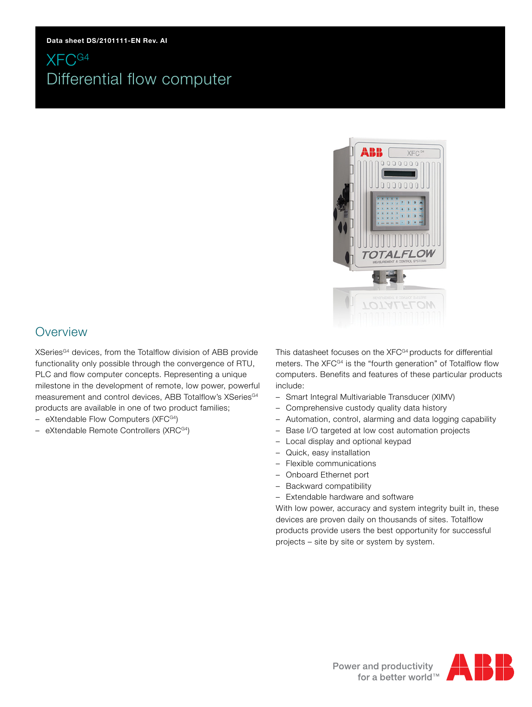

### **Overview**

XSeries<sup>G4</sup> devices, from the Totalflow division of ABB provide functionality only possible through the convergence of RTU, PLC and flow computer concepts. Representing a unique milestone in the development of remote, low power, powerful measurement and control devices, ABB Totalflow's XSeries<sup>G4</sup> products are available in one of two product families;

- eXtendable Flow Computers (XFCG4)
- eXtendable Remote Controllers (XRCG4)

This datasheet focuses on the XFC<sup>G4</sup> products for differential meters. The XFC<sup>G4</sup> is the "fourth generation" of Totalflow flow computers. Benefits and features of these particular products include:

- Smart Integral Multivariable Transducer (XIMV)
- Comprehensive custody quality data history
- Automation, control, alarming and data logging capability
- Base I/O targeted at low cost automation projects
- Local display and optional keypad
- Quick, easy installation
- Flexible communications
- Onboard Ethernet port
- Backward compatibility
- Extendable hardware and software

With low power, accuracy and system integrity built in, these devices are proven daily on thousands of sites. Totalflow products provide users the best opportunity for successful projects – site by site or system by system.

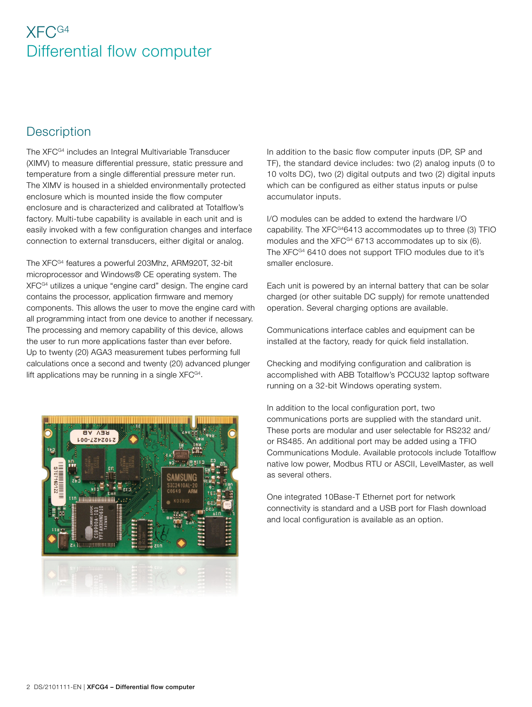## **Description**

The XFC<sup>G4</sup> includes an Integral Multivariable Transducer (XIMV) to measure differential pressure, static pressure and temperature from a single differential pressure meter run. The XIMV is housed in a shielded environmentally protected enclosure which is mounted inside the flow computer enclosure and is characterized and calibrated at Totalflow's factory. Multi-tube capability is available in each unit and is easily invoked with a few configuration changes and interface connection to external transducers, either digital or analog.

The XFCG4 features a powerful 203Mhz, ARM920T, 32-bit microprocessor and Windows® CE operating system. The XFCG4 utilizes a unique "engine card" design. The engine card contains the processor, application firmware and memory components. This allows the user to move the engine card with all programming intact from one device to another if necessary. The processing and memory capability of this device, allows the user to run more applications faster than ever before. Up to twenty (20) AGA3 measurement tubes performing full calculations once a second and twenty (20) advanced plunger lift applications may be running in a single  $XFC^{G4}$ .



In addition to the basic flow computer inputs (DP, SP and TF), the standard device includes: two (2) analog inputs (0 to 10 volts DC), two (2) digital outputs and two (2) digital inputs which can be configured as either status inputs or pulse accumulator inputs.

I/O modules can be added to extend the hardware I/O capability. The XFC<sup>G4</sup>6413 accommodates up to three (3) TFIO modules and the  $XFC^{G4}$  6713 accommodates up to six (6). The XFC<sup>G4</sup> 6410 does not support TFIO modules due to it's smaller enclosure.

Each unit is powered by an internal battery that can be solar charged (or other suitable DC supply) for remote unattended operation. Several charging options are available.

Communications interface cables and equipment can be installed at the factory, ready for quick field installation.

Checking and modifying configuration and calibration is accomplished with ABB Totalflow's PCCU32 laptop software running on a 32-bit Windows operating system.

In addition to the local configuration port, two communications ports are supplied with the standard unit. These ports are modular and user selectable for RS232 and/ or RS485. An additional port may be added using a TFIO Communications Module. Available protocols include Totalflow native low power, Modbus RTU or ASCII, LevelMaster, as well as several others.

One integrated 10Base-T Ethernet port for network connectivity is standard and a USB port for Flash download and local configuration is available as an option.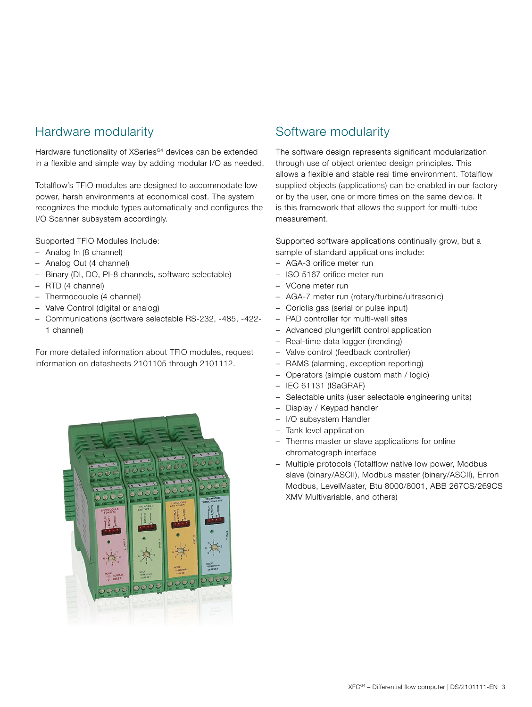## Hardware modularity

Hardware functionality of XSeries<sup>G4</sup> devices can be extended in a flexible and simple way by adding modular I/O as needed.

Totalflow's TFIO modules are designed to accommodate low power, harsh environments at economical cost. The system recognizes the module types automatically and configures the I/O Scanner subsystem accordingly.

Supported TFIO Modules Include:

- Analog In (8 channel)
- Analog Out (4 channel)
- Binary (DI, DO, PI-8 channels, software selectable)
- RTD (4 channel)
- Thermocouple (4 channel)
- Valve Control (digital or analog)
- Communications (software selectable RS-232, -485, -422- 1 channel)

For more detailed information about TFIO modules, request information on datasheets 2101105 through 2101112.



## Software modularity

The software design represents significant modularization through use of object oriented design principles. This allows a flexible and stable real time environment. Totalflow supplied objects (applications) can be enabled in our factory or by the user, one or more times on the same device. It is this framework that allows the support for multi-tube measurement.

Supported software applications continually grow, but a sample of standard applications include:

- AGA-3 orifice meter run
- ISO 5167 orifice meter run
- VCone meter run
- AGA-7 meter run (rotary/turbine/ultrasonic)
- Coriolis gas (serial or pulse input)
- PAD controller for multi-well sites
- Advanced plungerlift control application
- Real-time data logger (trending)
- Valve control (feedback controller)
- RAMS (alarming, exception reporting)
- Operators (simple custom math / logic)
- IEC 61131 (ISaGRAF)
- Selectable units (user selectable engineering units)
- Display / Keypad handler
- I/O subsystem Handler
- Tank level application
- Therms master or slave applications for online chromatograph interface
- Multiple protocols (Totalflow native low power, Modbus slave (binary/ASCII), Modbus master (binary/ASCII), Enron Modbus, LevelMaster, Btu 8000/8001, ABB 267CS/269CS XMV Multivariable, and others)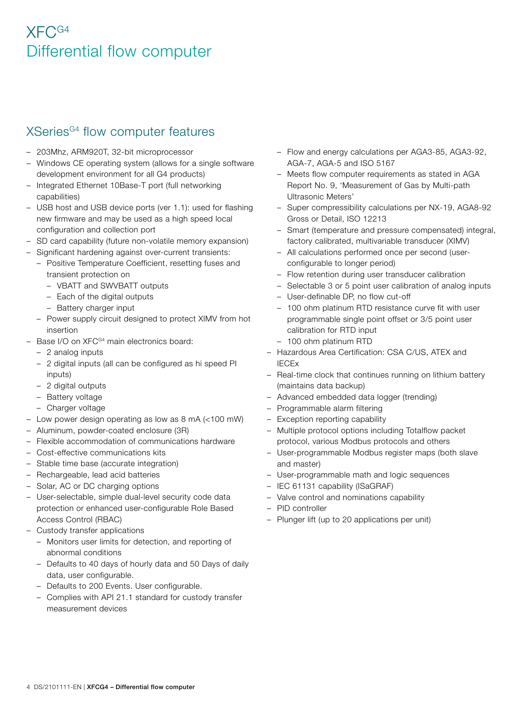## XSeries<sup>G4</sup> flow computer features

- 203Mhz, ARM920T, 32-bit microprocessor
- Windows CE operating system (allows for a single software development environment for all G4 products)
- Integrated Ethernet 10Base-T port (full networking capabilities)
- USB host and USB device ports (ver 1.1): used for flashing new firmware and may be used as a high speed local configuration and collection port
- SD card capability (future non-volatile memory expansion)
- Significant hardening against over-current transients:
	- Positive Temperature Coefficient, resetting fuses and transient protection on
		- VBATT and SWVBATT outputs
		- Each of the digital outputs
		- Battery charger input
	- Power supply circuit designed to protect XIMV from hot insertion
- $-$  Base I/O on XFC $G<sup>4</sup>$  main electronics board:
	- 2 analog inputs
	- 2 digital inputs (all can be configured as hi speed PI inputs)
	- 2 digital outputs
	- Battery voltage
- Charger voltage
- Low power design operating as low as 8 mA (<100 mW)
- Aluminum, powder-coated enclosure (3R)
- Flexible accommodation of communications hardware
- Cost-effective communications kits
- Stable time base (accurate integration)
- Rechargeable, lead acid batteries
- Solar, AC or DC charging options
- User-selectable, simple dual-level security code data protection or enhanced user-configurable Role Based Access Control (RBAC)
- Custody transfer applications
	- Monitors user limits for detection, and reporting of abnormal conditions
	- Defaults to 40 days of hourly data and 50 Days of daily data, user configurable.
	- Defaults to 200 Events. User configurable.
	- Complies with API 21.1 standard for custody transfer measurement devices
- Flow and energy calculations per AGA3-85, AGA3-92, AGA-7, AGA-5 and ISO 5167
- Meets flow computer requirements as stated in AGA Report No. 9, 'Measurement of Gas by Multi-path Ultrasonic Meters'
- Super compressibility calculations per NX-19, AGA8-92 Gross or Detail, ISO 12213
- Smart (temperature and pressure compensated) integral, factory calibrated, multivariable transducer (XIMV)
- All calculations performed once per second (userconfigurable to longer period)
- Flow retention during user transducer calibration
- Selectable 3 or 5 point user calibration of analog inputs
- User-definable DP, no flow cut-off
- 100 ohm platinum RTD resistance curve fit with user programmable single point offset or 3/5 point user calibration for RTD input
- 100 ohm platinum RTD
- Hazardous Area Certification: CSA C/US, ATEX and IECEx
- Real-time clock that continues running on lithium battery (maintains data backup)
- Advanced embedded data logger (trending)
- Programmable alarm filtering
- Exception reporting capability
- Multiple protocol options including Totalflow packet protocol, various Modbus protocols and others
- User-programmable Modbus register maps (both slave and master)
- User-programmable math and logic sequences
- IEC 61131 capability (ISaGRAF)
- Valve control and nominations capability
- PID controller
- Plunger lift (up to 20 applications per unit)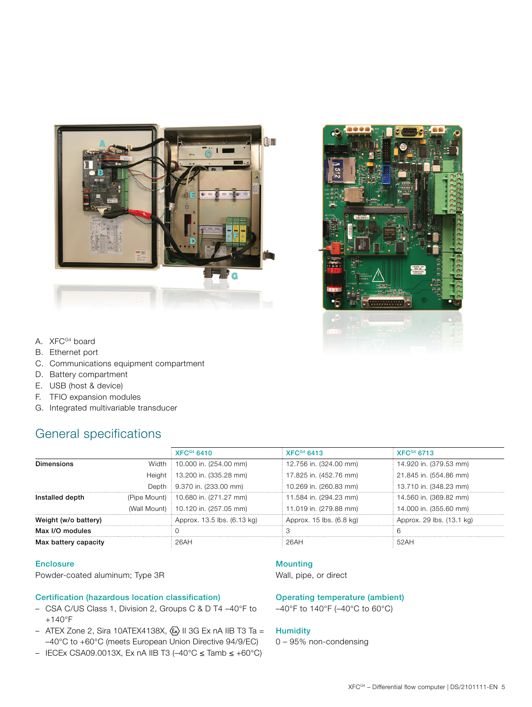



- A. XFC<sup>G4</sup> board
- B. Ethernet port
- C. Communications equipment compartment
- D. Battery compartment
- E. USB (host & device)
- F. TFIO expansion modules
- G. Integrated multivariable transducer

## General specifications

|                      |  | XFC <sup>64</sup> 6410                | <b>XFC<sup>G4</sup> 6413</b> | <b>XFCG4 6713</b>         |
|----------------------|--|---------------------------------------|------------------------------|---------------------------|
| Dimensions           |  | Width   10.000 in. (254.00 mm)        | 12.756 in. (324.00 mm)       | 14.920 in. (379.53 mm)    |
|                      |  | Height   13.200 in. (335.28 mm)       | 17.825 in. (452.76 mm)       | 21.845 in. (554.86 mm)    |
|                      |  | Depth : 9.370 in. (233.00 mm)         | 10.269 in. (260.83 mm)       | 13.710 in. (348.23 mm)    |
| Installed depth      |  | (Pipe Mount) : 10.680 in. (271.27 mm) | 11.584 in. (294.23 mm)       | 14.560 in. (369.82 mm)    |
|                      |  | (Wall Mount) : 10.120 in. (257.05 mm) | 11.019 in. (279.88 mm)       | 14.000 in. (355.60 mm)    |
| Weight (w/o battery) |  | Approx. 13.5 lbs. (6.13 kg)           | Approx. 15 lbs. (6.8 kg)     | Approx. 29 lbs. (13.1 kg) |
| Max I/O modules      |  |                                       |                              |                           |
| Max battery capacity |  | 26AH                                  | 26AH                         | 52AH                      |

#### **Enclosure**

Powder-coated aluminum; Type 3R

#### Certification (hazardous location classification)

- CSA C/US Class 1, Division 2, Groups C & D T4 –40°F to +140°F
- ATEX Zone 2, Sira 10ATEX4138X,  $\langle \overline{x} \rangle$  II 3G Ex nA IIB T3 Ta = –40°C to +60°C (meets European Union Directive 94/9/EC)
- IECEx CSA09.0013X, Ex nA IIB T3 (–40°C ≤ Tamb ≤ +60°C)

#### Mounting

Wall, pipe, or direct

#### Operating temperature (ambient)

–40°F to 140°F (–40°C to 60°C)

#### **Humidity**

0 – 95% non-condensing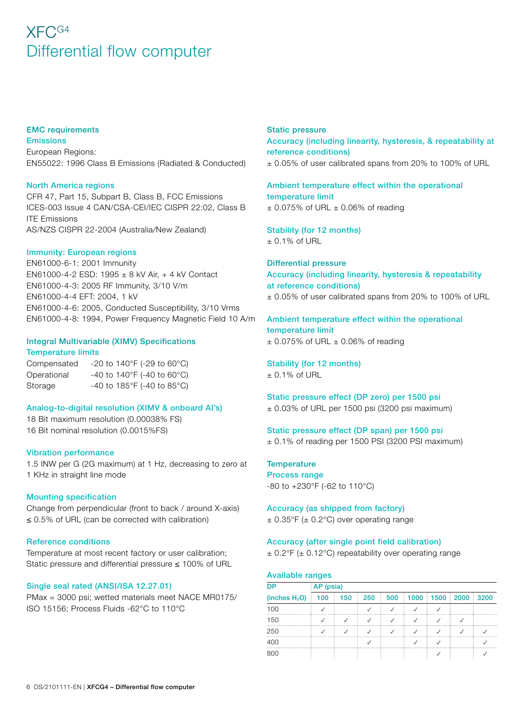#### EMC requirements

Emissions European Regions: EN55022: 1996 Class B Emissions (Radiated & Conducted)

#### North America regions

CFR 47, Part 15, Subpart B, Class B, FCC Emissions ICES-003 Issue 4 CAN/CSA-CEI/IEC CISPR 22:02, Class B ITE Emissions AS/NZS CISPR 22-2004 (Australia/New Zealand)

#### Immunity: European regions

EN61000-6-1: 2001 Immunity EN61000-4-2 ESD: 1995 ± 8 kV Air, + 4 kV Contact EN61000-4-3: 2005 RF Immunity, 3/10 V/m EN61000-4-4 EFT: 2004, 1 kV EN61000-4-6: 2005, Conducted Susceptibility, 3/10 Vrms EN61000-4-8: 1994, Power Frequency Magnetic Field 10 A/m

#### Integral Multivariable (XIMV) Specifications Temperature limits

Compensated -20 to 140°F (-29 to 60°C) Operational  $-40$  to 140°F (-40 to 60°C) Storage  $-40$  to 185°F (-40 to 85°C)

#### Analog-to-digital resolution (XIMV & onboard AI's)

18 Bit maximum resolution (0.00038% FS) 16 Bit nominal resolution (0.0015%FS)

#### Vibration performance

1.5 INW per G (2G maximum) at 1 Hz, decreasing to zero at 1 KHz in straight line mode

#### Mounting specification

Change from perpendicular (front to back / around X-axis) ≤ 0.5% of URL (can be corrected with calibration)

#### Reference conditions

Temperature at most recent factory or user calibration; Static pressure and differential pressure ≤ 100% of URL

#### Single seal rated (ANSI/ISA 12.27.01)

PMax = 3000 psi; wetted materials meet NACE MR0175/ ISO 15156; Process Fluids -62°C to 110°C

#### Static pressure Accuracy (including linearity, hysteresis, & repeatability at reference conditions) ± 0.05% of user calibrated spans from 20% to 100% of URL

Ambient temperature effect within the operational temperature limit  $\pm$  0.075% of URL  $\pm$  0.06% of reading

Stability (for 12 months)  $± 0.1\%$  of URL

Differential pressure Accuracy (including linearity, hysteresis & repeatability at reference conditions) ± 0.05% of user calibrated spans from 20% to 100% of URL

#### Ambient temperature effect within the operational temperature limit  $\pm$  0.075% of URL  $\pm$  0.06% of reading

Stability (for 12 months)  $± 0.1\%$  of URL

#### Static pressure effect (DP zero) per 1500 psi

± 0.03% of URL per 1500 psi (3200 psi maximum)

### Static pressure effect (DP span) per 1500 psi

± 0.1% of reading per 1500 PSI (3200 PSI maximum)

**Temperature** Process range -80 to +230°F (-62 to 110°C)

Accuracy (as shipped from factory)  $\pm$  0.35°F ( $\pm$  0.2°C) over operating range

#### Accuracy (after single point field calibration)

± 0.2°F (± 0.12°C) repeatability over operating range

#### Available ranges

| <b>DP</b>        | AP (psia) |     |     |          |  |  |                       |  |  |  |  |
|------------------|-----------|-----|-----|----------|--|--|-----------------------|--|--|--|--|
| (inches $H_2O$ ) | 100       | 150 | 250 | 500<br>÷ |  |  | $1000$ 1500 2000 3200 |  |  |  |  |
| 100              |           |     |     |          |  |  |                       |  |  |  |  |
| 150              |           |     |     |          |  |  |                       |  |  |  |  |
| 250              |           |     |     |          |  |  |                       |  |  |  |  |
| 400              |           |     |     |          |  |  |                       |  |  |  |  |
| 800              |           |     |     |          |  |  |                       |  |  |  |  |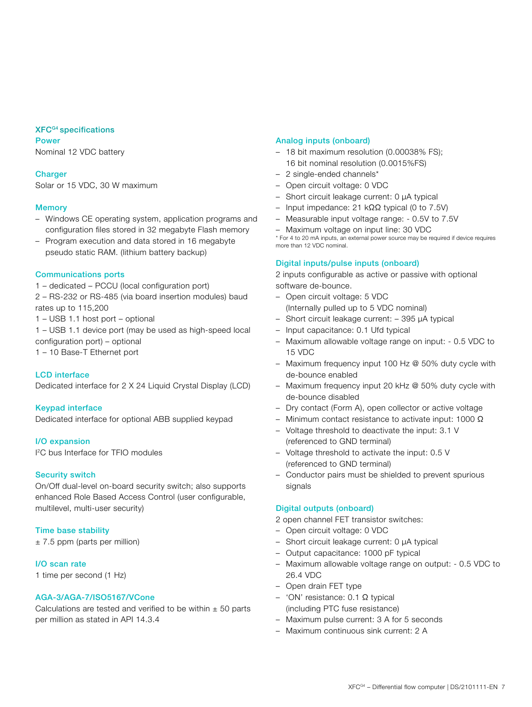#### XFCG4 specifications

Power Nominal 12 VDC battery

#### **Charger**

Solar or 15 VDC, 30 W maximum

#### **Memory**

- Windows CE operating system, application programs and configuration files stored in 32 megabyte Flash memory
- Program execution and data stored in 16 megabyte pseudo static RAM. (lithium battery backup)

#### Communications ports

1 – dedicated – PCCU (local configuration port) 2 – RS-232 or RS-485 (via board insertion modules) baud rates up to 115,200

1 – USB 1.1 host port – optional

1 – USB 1.1 device port (may be used as high-speed local configuration port) – optional

1 – 10 Base-T Ethernet port

#### LCD interface

Dedicated interface for 2 X 24 Liquid Crystal Display (LCD)

#### Keypad interface

Dedicated interface for optional ABB supplied keypad

#### I/O expansion

I 2C bus Interface for TFIO modules

#### Security switch

On/Off dual-level on-board security switch; also supports enhanced Role Based Access Control (user configurable, multilevel, multi-user security)

#### Time base stability

 $± 7.5$  ppm (parts per million)

#### I/O scan rate

1 time per second (1 Hz)

#### AGA-3/AGA-7/ISO5167/VCone

Calculations are tested and verified to be within  $\pm$  50 parts per million as stated in API 14.3.4

#### Analog inputs (onboard)

- 18 bit maximum resolution (0.00038% FS); 16 bit nominal resolution (0.0015%FS)
- 2 single-ended channels\*
- Open circuit voltage: 0 VDC
- Short circuit leakage current: 0 µA typical
- Input impedance: 21 kΩΩ typical (0 to 7.5V)
- Measurable input voltage range: 0.5V to 7.5V
- Maximum voltage on input line: 30 VDC

\* For 4 to 20 mA inputs, an external power source may be required if device requires more than 12 VDC nominal.

#### Digital inputs/pulse inputs (onboard)

2 inputs configurable as active or passive with optional software de-bounce.

- Open circuit voltage: 5 VDC (Internally pulled up to 5 VDC nominal)
- Short circuit leakage current: 395 µA typical
- Input capacitance: 0.1 Ufd typical
- Maximum allowable voltage range on input: 0.5 VDC to 15 VDC
- Maximum frequency input 100 Hz @ 50% duty cycle with de-bounce enabled
- Maximum frequency input 20 kHz @ 50% duty cycle with de-bounce disabled
- Dry contact (Form A), open collector or active voltage
- Minimum contact resistance to activate input: 1000 Ω
- Voltage threshold to deactivate the input: 3.1 V (referenced to GND terminal)
- Voltage threshold to activate the input: 0.5 V (referenced to GND terminal)
- Conductor pairs must be shielded to prevent spurious signals

#### Digital outputs (onboard)

2 open channel FET transistor switches:

- Open circuit voltage: 0 VDC
- Short circuit leakage current: 0 µA typical
- Output capacitance: 1000 pF typical
- Maximum allowable voltage range on output: 0.5 VDC to 26.4 VDC
- Open drain FET type
- 'ON' resistance: 0.1 Ω typical (including PTC fuse resistance)
- Maximum pulse current: 3 A for 5 seconds
- Maximum continuous sink current: 2 A